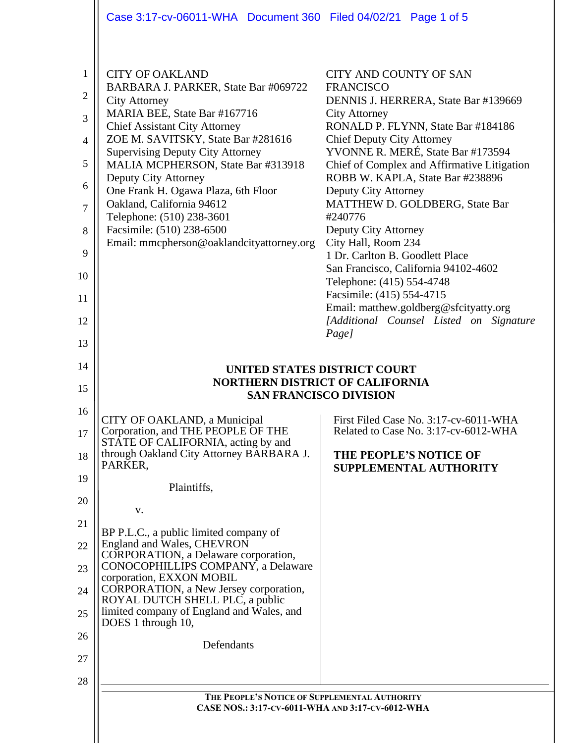|                                                                                                             | Case 3:17-cv-06011-WHA Document 360 Filed 04/02/21 Page 1 of 5                                                                                                                                                                                                                                                                                                                                                                                                                           |                                                                                                                                                                                                                                                                                                                                                                                                                                                                                                                                                                                                                                                             |  |  |  |  |
|-------------------------------------------------------------------------------------------------------------|------------------------------------------------------------------------------------------------------------------------------------------------------------------------------------------------------------------------------------------------------------------------------------------------------------------------------------------------------------------------------------------------------------------------------------------------------------------------------------------|-------------------------------------------------------------------------------------------------------------------------------------------------------------------------------------------------------------------------------------------------------------------------------------------------------------------------------------------------------------------------------------------------------------------------------------------------------------------------------------------------------------------------------------------------------------------------------------------------------------------------------------------------------------|--|--|--|--|
| $\mathbf{1}$<br>$\mathbf{2}$<br>3<br>$\overline{4}$<br>5<br>6<br>$\overline{7}$<br>8<br>9<br>10<br>11<br>12 | <b>CITY OF OAKLAND</b><br>BARBARA J. PARKER, State Bar #069722<br><b>City Attorney</b><br>MARIA BEE, State Bar #167716<br><b>Chief Assistant City Attorney</b><br>ZOE M. SAVITSKY, State Bar #281616<br><b>Supervising Deputy City Attorney</b><br>MALIA MCPHERSON, State Bar #313918<br>Deputy City Attorney<br>One Frank H. Ogawa Plaza, 6th Floor<br>Oakland, California 94612<br>Telephone: (510) 238-3601<br>Facsimile: (510) 238-6500<br>Email: mmcpherson@oaklandcityattorney.org | CITY AND COUNTY OF SAN<br><b>FRANCISCO</b><br>DENNIS J. HERRERA, State Bar #139669<br><b>City Attorney</b><br>RONALD P. FLYNN, State Bar #184186<br><b>Chief Deputy City Attorney</b><br>YVONNE R. MERÉ, State Bar #173594<br>Chief of Complex and Affirmative Litigation<br>ROBB W. KAPLA, State Bar #238896<br>Deputy City Attorney<br>MATTHEW D. GOLDBERG, State Bar<br>#240776<br>Deputy City Attorney<br>City Hall, Room 234<br>1 Dr. Carlton B. Goodlett Place<br>San Francisco, California 94102-4602<br>Telephone: (415) 554-4748<br>Facsimile: (415) 554-4715<br>Email: matthew.goldberg@sfcityatty.org<br>[Additional Counsel Listed on Signature |  |  |  |  |
| 13                                                                                                          |                                                                                                                                                                                                                                                                                                                                                                                                                                                                                          | Page]                                                                                                                                                                                                                                                                                                                                                                                                                                                                                                                                                                                                                                                       |  |  |  |  |
| 14<br>15                                                                                                    | UNITED STATES DISTRICT COURT<br><b>NORTHERN DISTRICT OF CALIFORNIA</b><br><b>SAN FRANCISCO DIVISION</b>                                                                                                                                                                                                                                                                                                                                                                                  |                                                                                                                                                                                                                                                                                                                                                                                                                                                                                                                                                                                                                                                             |  |  |  |  |
| 16<br>17                                                                                                    | CITY OF OAKLAND, a Municipal<br>Corporation, and THE PEOPLE OF THE                                                                                                                                                                                                                                                                                                                                                                                                                       | First Filed Case No. 3:17-cv-6011-WHA<br>Related to Case No. 3:17-cv-6012-WHA                                                                                                                                                                                                                                                                                                                                                                                                                                                                                                                                                                               |  |  |  |  |
| 18                                                                                                          | STATE OF CALIFORNIA, acting by and<br>through Oakland City Attorney BARBARA J.<br>PARKER,                                                                                                                                                                                                                                                                                                                                                                                                | THE PEOPLE'S NOTICE OF                                                                                                                                                                                                                                                                                                                                                                                                                                                                                                                                                                                                                                      |  |  |  |  |
| 19                                                                                                          |                                                                                                                                                                                                                                                                                                                                                                                                                                                                                          |                                                                                                                                                                                                                                                                                                                                                                                                                                                                                                                                                                                                                                                             |  |  |  |  |
|                                                                                                             | Plaintiffs,                                                                                                                                                                                                                                                                                                                                                                                                                                                                              | SUPPLEMENTAL AUTHORITY                                                                                                                                                                                                                                                                                                                                                                                                                                                                                                                                                                                                                                      |  |  |  |  |
| 20                                                                                                          | V.                                                                                                                                                                                                                                                                                                                                                                                                                                                                                       |                                                                                                                                                                                                                                                                                                                                                                                                                                                                                                                                                                                                                                                             |  |  |  |  |
| 21<br>22                                                                                                    | BP P.L.C., a public limited company of<br>England and Wales, CHEVRON                                                                                                                                                                                                                                                                                                                                                                                                                     |                                                                                                                                                                                                                                                                                                                                                                                                                                                                                                                                                                                                                                                             |  |  |  |  |
| 23                                                                                                          | CORPORATION, a Delaware corporation,<br>CONOCOPHILLIPS COMPANY, a Delaware                                                                                                                                                                                                                                                                                                                                                                                                               |                                                                                                                                                                                                                                                                                                                                                                                                                                                                                                                                                                                                                                                             |  |  |  |  |
| 24                                                                                                          | corporation, EXXON MOBIL<br>CORPORATION, a New Jersey corporation,                                                                                                                                                                                                                                                                                                                                                                                                                       |                                                                                                                                                                                                                                                                                                                                                                                                                                                                                                                                                                                                                                                             |  |  |  |  |
| 25                                                                                                          | ROYAL DUTCH SHELL PLC, a public<br>limited company of England and Wales, and<br>DOES 1 through 10,                                                                                                                                                                                                                                                                                                                                                                                       |                                                                                                                                                                                                                                                                                                                                                                                                                                                                                                                                                                                                                                                             |  |  |  |  |
| 26                                                                                                          | Defendants                                                                                                                                                                                                                                                                                                                                                                                                                                                                               |                                                                                                                                                                                                                                                                                                                                                                                                                                                                                                                                                                                                                                                             |  |  |  |  |
| 27<br>28                                                                                                    |                                                                                                                                                                                                                                                                                                                                                                                                                                                                                          |                                                                                                                                                                                                                                                                                                                                                                                                                                                                                                                                                                                                                                                             |  |  |  |  |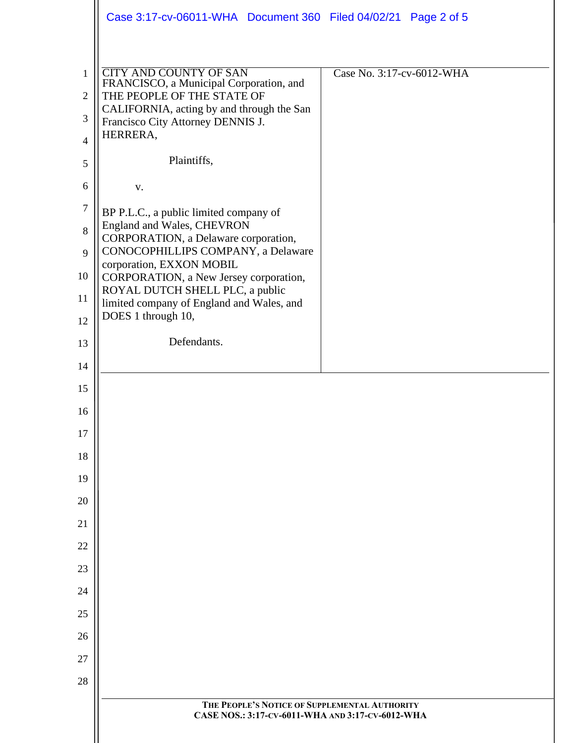|                     | Case 3:17-cv-06011-WHA Document 360 Filed 04/02/21 Page 2 of 5            |                           |
|---------------------|---------------------------------------------------------------------------|---------------------------|
|                     |                                                                           |                           |
| $\mathbf{1}$        | <b>CITY AND COUNTY OF SAN</b><br>FRANCISCO, a Municipal Corporation, and  | Case No. 3:17-cv-6012-WHA |
| 2                   | THE PEOPLE OF THE STATE OF<br>CALIFORNIA, acting by and through the San   |                           |
| 3<br>$\overline{4}$ | Francisco City Attorney DENNIS J.<br>HERRERA,                             |                           |
| 5                   | Plaintiffs,                                                               |                           |
| 6                   | ${\bf V}$ .                                                               |                           |
| $\overline{7}$      | BP P.L.C., a public limited company of                                    |                           |
| 8                   | England and Wales, CHEVRON<br>CORPORATION, a Delaware corporation,        |                           |
| 9                   | CONOCOPHILLIPS COMPANY, a Delaware<br>corporation, EXXON MOBIL            |                           |
| 10                  | CORPORATION, a New Jersey corporation,<br>ROYAL DUTCH SHELL PLC, a public |                           |
| 11                  | limited company of England and Wales, and<br>DOES 1 through 10,           |                           |
| 12<br>13            | Defendants.                                                               |                           |
| 14                  |                                                                           |                           |
| 15                  |                                                                           |                           |
| 16                  |                                                                           |                           |
| 17                  |                                                                           |                           |
| 18                  |                                                                           |                           |
| 19                  |                                                                           |                           |
| 20                  |                                                                           |                           |
| 21                  |                                                                           |                           |
| 22                  |                                                                           |                           |
| 23                  |                                                                           |                           |
| 24                  |                                                                           |                           |
| 25                  |                                                                           |                           |
| 26                  |                                                                           |                           |
| 27<br>28            |                                                                           |                           |
|                     | THE PEOPLE'S NOTICE OF SUPPLEMENTAL AUTHORITY                             |                           |
|                     | CASE NOS.: 3:17-CV-6011-WHA AND 3:17-CV-6012-WHA                          |                           |
|                     |                                                                           |                           |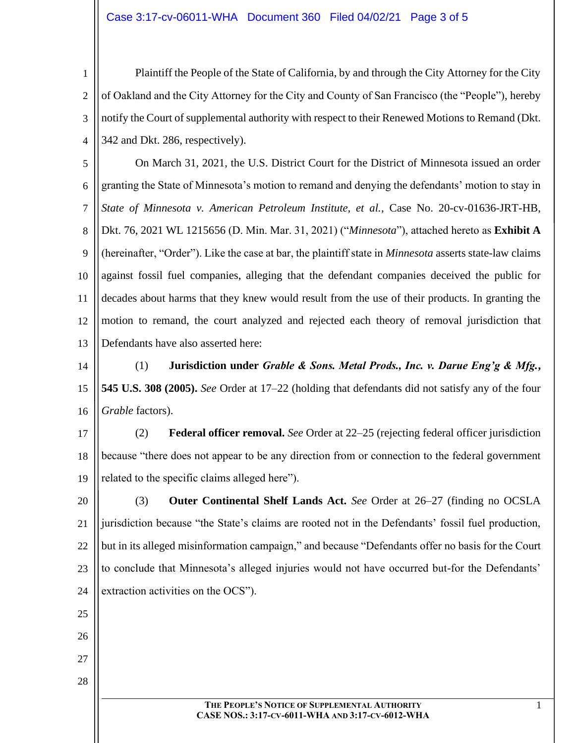## Case 3:17-cv-06011-WHA Document 360 Filed 04/02/21 Page 3 of 5

1 2 3 4 Plaintiff the People of the State of California, by and through the City Attorney for the City of Oakland and the City Attorney for the City and County of San Francisco (the "People"), hereby notify the Court of supplemental authority with respect to their Renewed Motions to Remand (Dkt. 342 and Dkt. 286, respectively).

5 6 7 8 9 10 11 12 13 On March 31, 2021, the U.S. District Court for the District of Minnesota issued an order granting the State of Minnesota's motion to remand and denying the defendants' motion to stay in *State of Minnesota v. American Petroleum Institute, et al.*, Case No. 20-cv-01636-JRT-HB, Dkt. 76, 2021 WL 1215656 (D. Min. Mar. 31, 2021) ("*Minnesota*"), attached hereto as **Exhibit A** (hereinafter, "Order"). Like the case at bar, the plaintiff state in *Minnesota* asserts state-law claims against fossil fuel companies, alleging that the defendant companies deceived the public for decades about harms that they knew would result from the use of their products. In granting the motion to remand, the court analyzed and rejected each theory of removal jurisdiction that Defendants have also asserted here:

14 15 16 (1) **Jurisdiction under** *Grable & Sons. Metal Prods., Inc. v. Darue Eng'g & Mfg.***, 545 U.S. 308 (2005).** *See* Order at 17–22 (holding that defendants did not satisfy any of the four *Grable* factors).

17 18 19 (2) **Federal officer removal.** *See* Order at 22–25 (rejecting federal officer jurisdiction because "there does not appear to be any direction from or connection to the federal government related to the specific claims alleged here").

20 21 22 23 24 (3) **Outer Continental Shelf Lands Act.** *See* Order at 26–27 (finding no OCSLA jurisdiction because "the State's claims are rooted not in the Defendants' fossil fuel production, but in its alleged misinformation campaign," and because "Defendants offer no basis for the Court to conclude that Minnesota's alleged injuries would not have occurred but-for the Defendants' extraction activities on the OCS").

25

26

27

28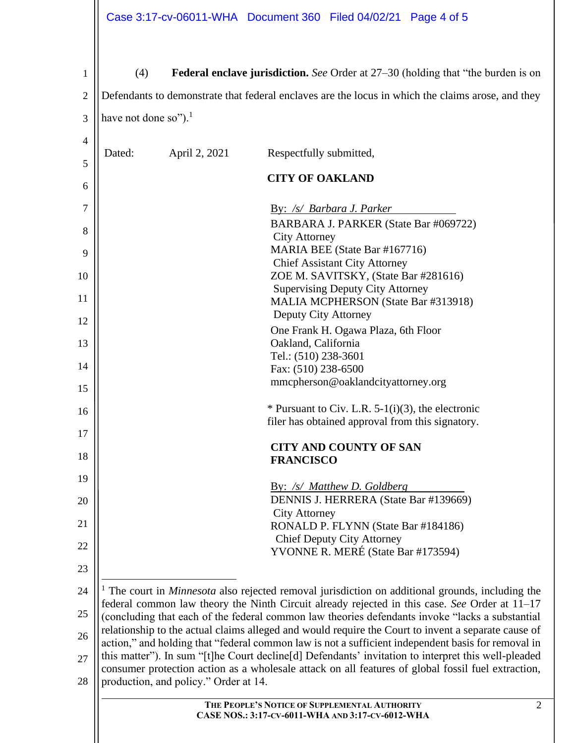| 1              | Federal enclave jurisdiction. See Order at 27-30 (holding that "the burden is on<br>(4)                                                                                                                             |                                       |                                                                                                                                                                                                           |                |  |  |
|----------------|---------------------------------------------------------------------------------------------------------------------------------------------------------------------------------------------------------------------|---------------------------------------|-----------------------------------------------------------------------------------------------------------------------------------------------------------------------------------------------------------|----------------|--|--|
| 2              | Defendants to demonstrate that federal enclaves are the locus in which the claims arose, and they                                                                                                                   |                                       |                                                                                                                                                                                                           |                |  |  |
| 3              | have not done so"). <sup>1</sup>                                                                                                                                                                                    |                                       |                                                                                                                                                                                                           |                |  |  |
| $\overline{4}$ |                                                                                                                                                                                                                     |                                       |                                                                                                                                                                                                           |                |  |  |
| 5              | Dated:                                                                                                                                                                                                              | April 2, 2021                         | Respectfully submitted,                                                                                                                                                                                   |                |  |  |
| 6              |                                                                                                                                                                                                                     |                                       | <b>CITY OF OAKLAND</b>                                                                                                                                                                                    |                |  |  |
| 7              |                                                                                                                                                                                                                     |                                       | By: /s/ Barbara J. Parker                                                                                                                                                                                 |                |  |  |
| 8              |                                                                                                                                                                                                                     |                                       | BARBARA J. PARKER (State Bar #069722)                                                                                                                                                                     |                |  |  |
| 9              |                                                                                                                                                                                                                     |                                       | <b>City Attorney</b><br>MARIA BEE (State Bar #167716)                                                                                                                                                     |                |  |  |
|                |                                                                                                                                                                                                                     |                                       | <b>Chief Assistant City Attorney</b>                                                                                                                                                                      |                |  |  |
| 10             |                                                                                                                                                                                                                     |                                       | ZOE M. SAVITSKY, (State Bar #281616)<br><b>Supervising Deputy City Attorney</b>                                                                                                                           |                |  |  |
| 11             |                                                                                                                                                                                                                     |                                       | MALIA MCPHERSON (State Bar #313918)                                                                                                                                                                       |                |  |  |
| 12             |                                                                                                                                                                                                                     |                                       | Deputy City Attorney                                                                                                                                                                                      |                |  |  |
| 13             |                                                                                                                                                                                                                     |                                       | One Frank H. Ogawa Plaza, 6th Floor<br>Oakland, California                                                                                                                                                |                |  |  |
|                |                                                                                                                                                                                                                     |                                       | Tel.: (510) 238-3601                                                                                                                                                                                      |                |  |  |
| 14             |                                                                                                                                                                                                                     |                                       | Fax: (510) 238-6500                                                                                                                                                                                       |                |  |  |
| 15             |                                                                                                                                                                                                                     |                                       | mmcpherson@oaklandcityattorney.org                                                                                                                                                                        |                |  |  |
| 16             |                                                                                                                                                                                                                     |                                       | * Pursuant to Civ. L.R. $5-1(i)(3)$ , the electronic                                                                                                                                                      |                |  |  |
|                |                                                                                                                                                                                                                     |                                       | filer has obtained approval from this signatory.                                                                                                                                                          |                |  |  |
| 17             |                                                                                                                                                                                                                     |                                       | <b>CITY AND COUNTY OF SAN</b>                                                                                                                                                                             |                |  |  |
| 18             | <b>FRANCISCO</b>                                                                                                                                                                                                    |                                       |                                                                                                                                                                                                           |                |  |  |
| 19             |                                                                                                                                                                                                                     |                                       |                                                                                                                                                                                                           |                |  |  |
| 20             |                                                                                                                                                                                                                     |                                       | By: /s/ Matthew D. Goldberg<br>DENNIS J. HERRERA (State Bar #139669)                                                                                                                                      |                |  |  |
|                |                                                                                                                                                                                                                     |                                       | <b>City Attorney</b>                                                                                                                                                                                      |                |  |  |
| 21             |                                                                                                                                                                                                                     |                                       | RONALD P. FLYNN (State Bar #184186)                                                                                                                                                                       |                |  |  |
| 22             |                                                                                                                                                                                                                     |                                       | <b>Chief Deputy City Attorney</b><br>YVONNE R. MERÉ (State Bar #173594)                                                                                                                                   |                |  |  |
| 23             |                                                                                                                                                                                                                     |                                       |                                                                                                                                                                                                           |                |  |  |
|                |                                                                                                                                                                                                                     |                                       |                                                                                                                                                                                                           |                |  |  |
| 24             | <sup>1</sup> The court in <i>Minnesota</i> also rejected removal jurisdiction on additional grounds, including the<br>federal common law theory the Ninth Circuit already rejected in this case. See Order at 11-17 |                                       |                                                                                                                                                                                                           |                |  |  |
| 25             | (concluding that each of the federal common law theories defendants invoke "lacks a substantial<br>relationship to the actual claims alleged and would require the Court to invent a separate cause of              |                                       |                                                                                                                                                                                                           |                |  |  |
| 26             |                                                                                                                                                                                                                     |                                       | action," and holding that "federal common law is not a sufficient independent basis for removal in                                                                                                        |                |  |  |
| 27             |                                                                                                                                                                                                                     |                                       | this matter"). In sum "[t]he Court decline[d] Defendants' invitation to interpret this well-pleaded<br>consumer protection action as a wholesale attack on all features of global fossil fuel extraction, |                |  |  |
| 28             |                                                                                                                                                                                                                     | production, and policy." Order at 14. |                                                                                                                                                                                                           |                |  |  |
|                |                                                                                                                                                                                                                     |                                       | THE PEOPLE'S NOTICE OF SUPPLEMENTAL AUTHORITY                                                                                                                                                             | $\overline{2}$ |  |  |
|                | CASE NOS.: 3:17-CV-6011-WHA AND 3:17-CV-6012-WHA                                                                                                                                                                    |                                       |                                                                                                                                                                                                           |                |  |  |
|                |                                                                                                                                                                                                                     |                                       |                                                                                                                                                                                                           |                |  |  |